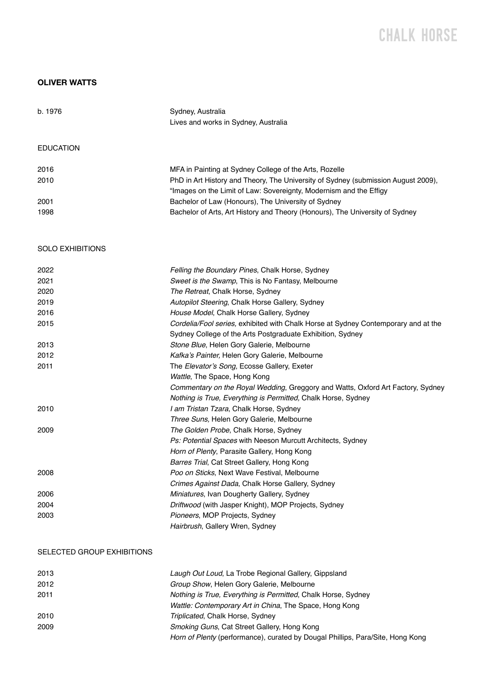# CHALK H0RSE

# **OLIVER WATTS**

| b. 1976          | Sydney, Australia<br>Lives and works in Sydney, Australia                                                                                               |
|------------------|---------------------------------------------------------------------------------------------------------------------------------------------------------|
| <b>EDUCATION</b> |                                                                                                                                                         |
| 2016             | MFA in Painting at Sydney College of the Arts, Rozelle                                                                                                  |
| 2010             | PhD in Art History and Theory, The University of Sydney (submission August 2009),<br>"Images on the Limit of Law: Sovereignty, Modernism and the Effigy |
| 2001             | Bachelor of Law (Honours), The University of Sydney                                                                                                     |
| 1998             | Bachelor of Arts, Art History and Theory (Honours), The University of Sydney                                                                            |

# SOLO EXHIBITIONS

| 2022 | Felling the Boundary Pines, Chalk Horse, Sydney                                    |
|------|------------------------------------------------------------------------------------|
| 2021 | Sweet is the Swamp, This is No Fantasy, Melbourne                                  |
| 2020 | The Retreat, Chalk Horse, Sydney                                                   |
| 2019 | Autopilot Steering, Chalk Horse Gallery, Sydney                                    |
| 2016 | House Model, Chalk Horse Gallery, Sydney                                           |
| 2015 | Cordelia/Fool series, exhibited with Chalk Horse at Sydney Contemporary and at the |
|      | Sydney College of the Arts Postgraduate Exhibition, Sydney                         |
| 2013 | Stone Blue, Helen Gory Galerie, Melbourne                                          |
| 2012 | Kafka's Painter, Helen Gory Galerie, Melbourne                                     |
| 2011 | The Elevator's Song, Ecosse Gallery, Exeter                                        |
|      | Wattle, The Space, Hong Kong                                                       |
|      | Commentary on the Royal Wedding, Greggory and Watts, Oxford Art Factory, Sydney    |
|      | Nothing is True, Everything is Permitted, Chalk Horse, Sydney                      |
| 2010 | I am Tristan Tzara, Chalk Horse, Sydney                                            |
|      | Three Suns, Helen Gory Galerie, Melbourne                                          |
| 2009 | The Golden Probe, Chalk Horse, Sydney                                              |
|      | Ps: Potential Spaces with Neeson Murcutt Architects, Sydney                        |
|      | Horn of Plenty, Parasite Gallery, Hong Kong                                        |
|      | Barres Trial, Cat Street Gallery, Hong Kong                                        |
| 2008 | Poo on Sticks, Next Wave Festival, Melbourne                                       |
|      | Crimes Against Dada, Chalk Horse Gallery, Sydney                                   |
| 2006 | <i>Miniatures, Ivan Dougherty Gallery, Sydney</i>                                  |
| 2004 | Driftwood (with Jasper Knight), MOP Projects, Sydney                               |
| 2003 | Pioneers, MOP Projects, Sydney                                                     |
|      | Hairbrush, Gallery Wren, Sydney                                                    |

### SELECTED GROUP EXHIBITIONS

| 2013 | Laugh Out Loud, La Trobe Regional Gallery, Gippsland                                  |
|------|---------------------------------------------------------------------------------------|
| 2012 | Group Show, Helen Gory Galerie, Melbourne                                             |
| 2011 | Nothing is True, Everything is Permitted, Chalk Horse, Sydney                         |
|      | Wattle: Contemporary Art in China, The Space, Hong Kong                               |
| 2010 | Triplicated, Chalk Horse, Sydney                                                      |
| 2009 | Smoking Guns, Cat Street Gallery, Hong Kong                                           |
|      | <i>Horn of Plenty</i> (performance), curated by Dougal Phillips, Para/Site, Hong Kong |